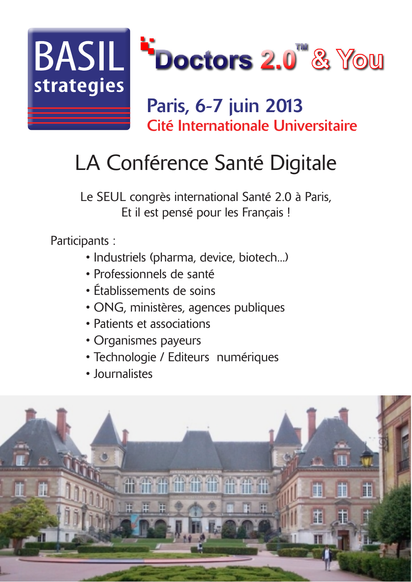

#### Paris, 6-7 juin 2013 Cité Internationale Universitaire

# LA Conférence Santé Digitale

Le SEUL congrès international Santé 2.0 à Paris, Et il est pensé pour les Français !

Participants:

- · Industriels (pharma, device, biotech...)
- · Professionnels de santé
- · Établissements de soins
- ONG, ministères, agences publiques
- · Patients et associations
- Organismes payeurs
- · Technologie / Editeurs numériques
- · Intimalistes

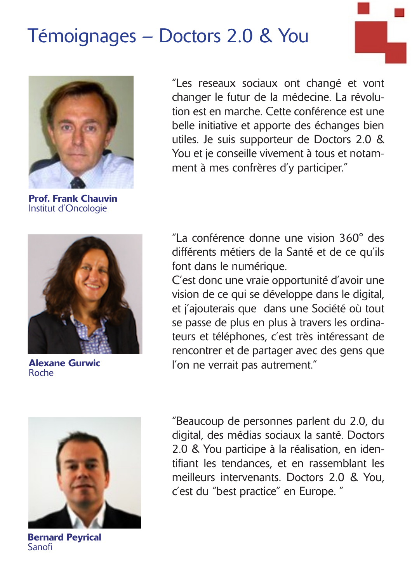## Témoignages - Doctors 2.0 & You



**Prof. Frank Chauvin** Institut d'Oncologie



**Alexane Gurwic** Roche



**Bernard Pevrical** Sanofi

"Les reseaux sociaux ont changé et vont changer le futur de la médecine. La révolution est en marche. Cette conférence est une belle initiative et apporte des échanges bien utiles. Je suis supporteur de Doctors 2.0 & You et je conseille vivement à tous et notamment à mes confrères d'y participer."

"La conférence donne une vision 360° des différents métiers de la Santé et de ce qu'ils font dans le numérique.

C'est donc une vraie opportunité d'avoir une vision de ce qui se développe dans le digital, et j'ajouterais que dans une Société où tout se passe de plus en plus à travers les ordinateurs et téléphones, c'est très intéressant de rencontrer et de partager avec des gens que l'on ne verrait pas autrement."

"Beaucoup de personnes parlent du 2.0, du digital, des médias sociaux la santé. Doctors 2.0 & You participe à la réalisation, en identifiant les tendances, et en rassemblant les meilleurs intervenants. Doctors 2.0 & You, c'est du "best practice" en Europe. "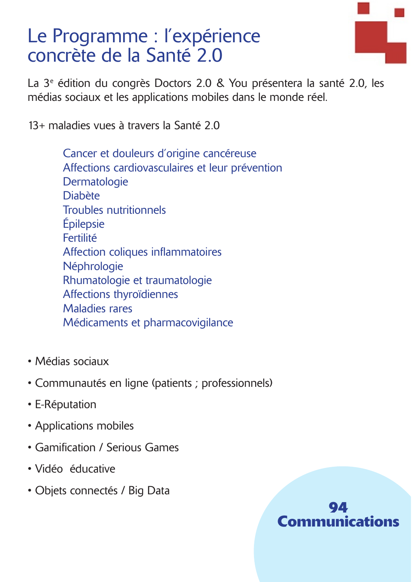### Le Programme : l'expérience concrète de la Santé 2.0

La 3<sup>e</sup> édition du congrès Doctors 2.0 & You présentera la santé 2.0, les médias sociaux et les applications mobiles dans le monde réel.

13+ maladies vues à travers la Santé 2.0

Cancer et douleurs d'origine cancéreuse Affections cardiovasculaires et leur prévention Dermatologie **Diabète Troubles nutritionnels** Épilepsie Fertilité Affection coliques inflammatoires Néphrologie Rhumatologie et traumatologie Affections thyroïdiennes **Maladies rares** Médicaments et pharmacovigilance

- Médias sociaux
- Communautés en ligne (patients ; professionnels)
- E-Réputation
- Applications mobiles
- Gamification / Serious Games
- · Vidéo éducative
- Obiets connectés / Big Data